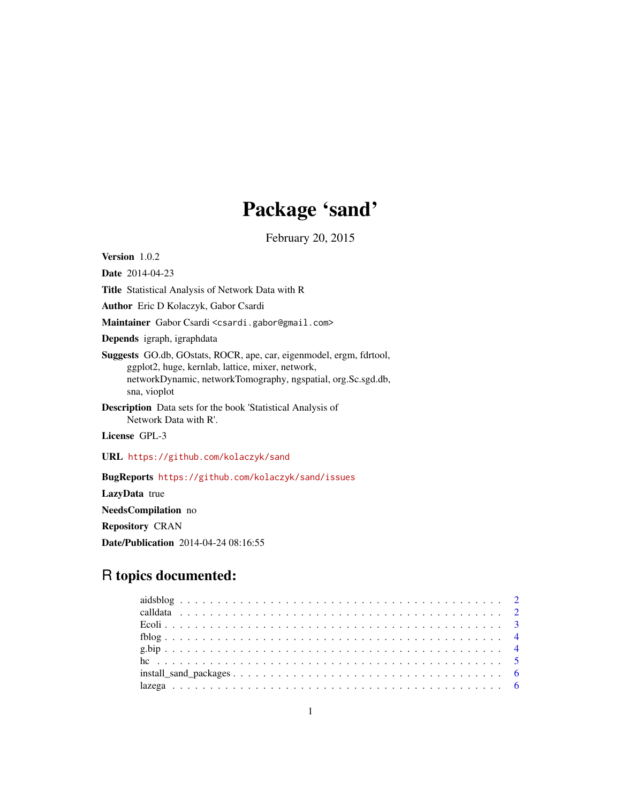# Package 'sand'

February 20, 2015

Version 1.0.2

Date 2014-04-23

Title Statistical Analysis of Network Data with R

Author Eric D Kolaczyk, Gabor Csardi

Maintainer Gabor Csardi <csardi.gabor@gmail.com>

Depends igraph, igraphdata

Suggests GO.db, GOstats, ROCR, ape, car, eigenmodel, ergm, fdrtool, ggplot2, huge, kernlab, lattice, mixer, network, networkDynamic, networkTomography, ngspatial, org.Sc.sgd.db, sna, vioplot

Description Data sets for the book 'Statistical Analysis of Network Data with R'.

License GPL-3

URL <https://github.com/kolaczyk/sand>

BugReports <https://github.com/kolaczyk/sand/issues>

LazyData true

NeedsCompilation no

Repository CRAN

Date/Publication 2014-04-24 08:16:55

# R topics documented: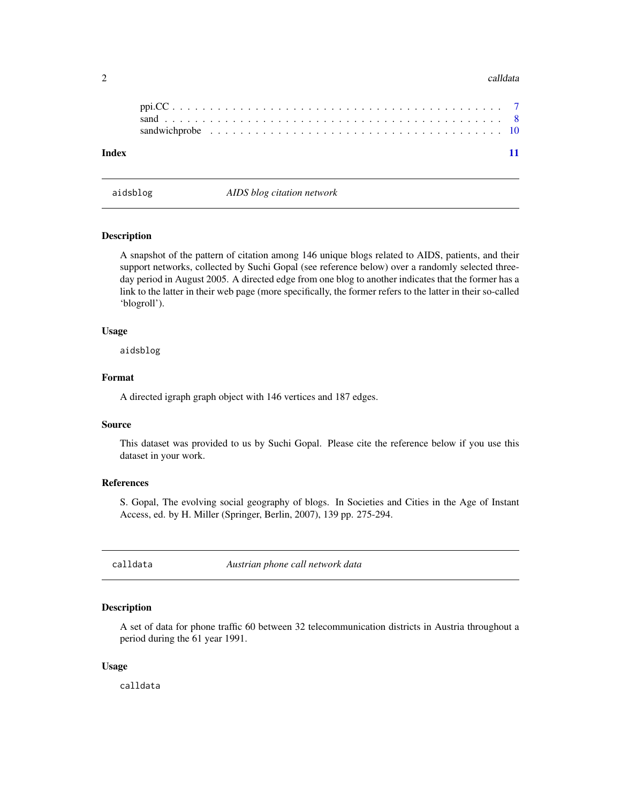# <span id="page-1-0"></span> $2 \cos \theta$  calldata

<span id="page-1-1"></span>aidsblog *AIDS blog citation network*

## Description

A snapshot of the pattern of citation among 146 unique blogs related to AIDS, patients, and their support networks, collected by Suchi Gopal (see reference below) over a randomly selected threeday period in August 2005. A directed edge from one blog to another indicates that the former has a link to the latter in their web page (more specifically, the former refers to the latter in their so-called 'blogroll').

# Usage

aidsblog

# Format

A directed igraph graph object with 146 vertices and 187 edges.

# Source

This dataset was provided to us by Suchi Gopal. Please cite the reference below if you use this dataset in your work.

### References

S. Gopal, The evolving social geography of blogs. In Societies and Cities in the Age of Instant Access, ed. by H. Miller (Springer, Berlin, 2007), 139 pp. 275-294.

<span id="page-1-2"></span>calldata *Austrian phone call network data*

# Description

A set of data for phone traffic 60 between 32 telecommunication districts in Austria throughout a period during the 61 year 1991.

# Usage

calldata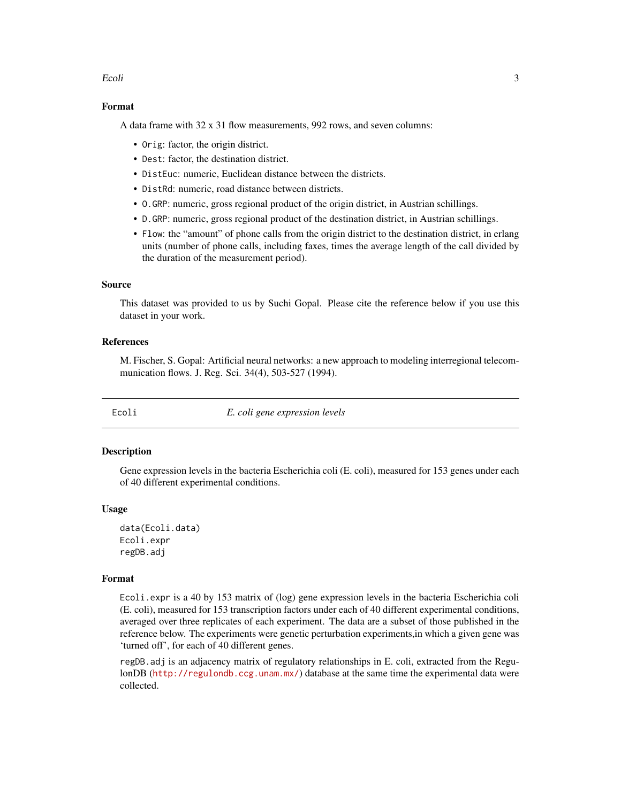# <span id="page-2-0"></span>Ecoli 3

# Format

A data frame with 32 x 31 flow measurements, 992 rows, and seven columns:

- Orig: factor, the origin district.
- Dest: factor, the destination district.
- DistEuc: numeric, Euclidean distance between the districts.
- DistRd: numeric, road distance between districts.
- O.GRP: numeric, gross regional product of the origin district, in Austrian schillings.
- D.GRP: numeric, gross regional product of the destination district, in Austrian schillings.
- Flow: the "amount" of phone calls from the origin district to the destination district, in erlang units (number of phone calls, including faxes, times the average length of the call divided by the duration of the measurement period).

# Source

This dataset was provided to us by Suchi Gopal. Please cite the reference below if you use this dataset in your work.

# References

M. Fischer, S. Gopal: Artificial neural networks: a new approach to modeling interregional telecommunication flows. J. Reg. Sci. 34(4), 503-527 (1994).

<span id="page-2-1"></span>

Ecoli *E. coli gene expression levels*

# Description

Gene expression levels in the bacteria Escherichia coli (E. coli), measured for 153 genes under each of 40 different experimental conditions.

#### Usage

data(Ecoli.data) Ecoli.expr regDB.adj

# Format

Ecoli.expr is a 40 by 153 matrix of (log) gene expression levels in the bacteria Escherichia coli (E. coli), measured for 153 transcription factors under each of 40 different experimental conditions, averaged over three replicates of each experiment. The data are a subset of those published in the reference below. The experiments were genetic perturbation experiments,in which a given gene was 'turned off', for each of 40 different genes.

regDB.adj is an adjacency matrix of regulatory relationships in E. coli, extracted from the RegulonDB (<http://regulondb.ccg.unam.mx/>) database at the same time the experimental data were collected.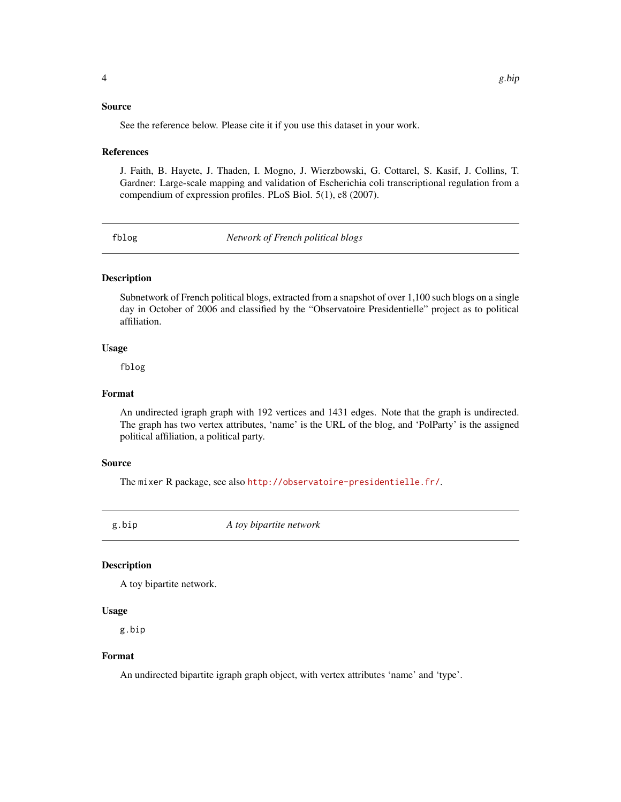# <span id="page-3-0"></span>Source

See the reference below. Please cite it if you use this dataset in your work.

# References

J. Faith, B. Hayete, J. Thaden, I. Mogno, J. Wierzbowski, G. Cottarel, S. Kasif, J. Collins, T. Gardner: Large-scale mapping and validation of Escherichia coli transcriptional regulation from a compendium of expression profiles. PLoS Biol. 5(1), e8 (2007).

<span id="page-3-1"></span>fblog *Network of French political blogs*

# Description

Subnetwork of French political blogs, extracted from a snapshot of over 1,100 such blogs on a single day in October of 2006 and classified by the "Observatoire Presidentielle" project as to political affiliation.

# Usage

fblog

# Format

An undirected igraph graph with 192 vertices and 1431 edges. Note that the graph is undirected. The graph has two vertex attributes, 'name' is the URL of the blog, and 'PolParty' is the assigned political affiliation, a political party.

# Source

The mixer R package, see also <http://observatoire-presidentielle.fr/>.

<span id="page-3-2"></span>g.bip *A toy bipartite network*

# Description

A toy bipartite network.

# Usage

g.bip

# Format

An undirected bipartite igraph graph object, with vertex attributes 'name' and 'type'.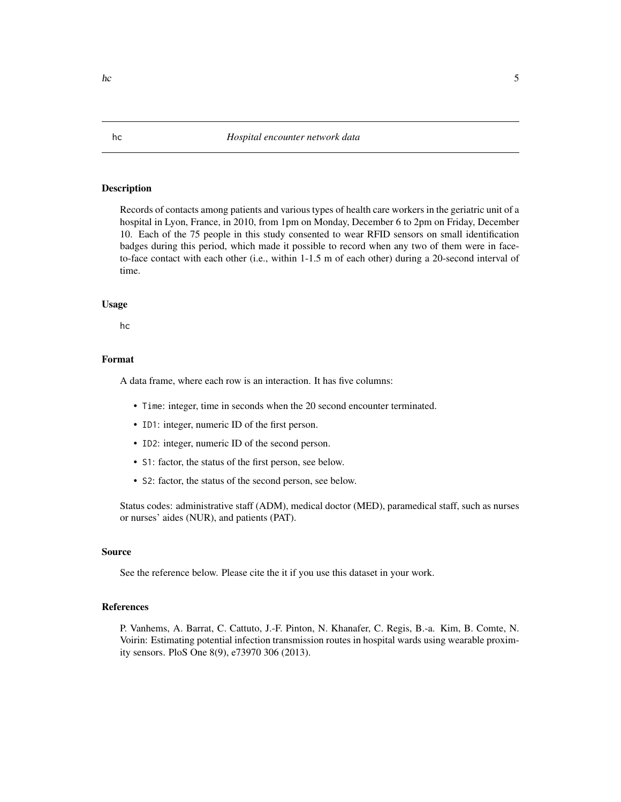# <span id="page-4-1"></span><span id="page-4-0"></span>Description

Records of contacts among patients and various types of health care workers in the geriatric unit of a hospital in Lyon, France, in 2010, from 1pm on Monday, December 6 to 2pm on Friday, December 10. Each of the 75 people in this study consented to wear RFID sensors on small identification badges during this period, which made it possible to record when any two of them were in faceto-face contact with each other (i.e., within 1-1.5 m of each other) during a 20-second interval of time.

#### Usage

hc

# Format

A data frame, where each row is an interaction. It has five columns:

- Time: integer, time in seconds when the 20 second encounter terminated.
- ID1: integer, numeric ID of the first person.
- ID2: integer, numeric ID of the second person.
- S1: factor, the status of the first person, see below.
- S2: factor, the status of the second person, see below.

Status codes: administrative staff (ADM), medical doctor (MED), paramedical staff, such as nurses or nurses' aides (NUR), and patients (PAT).

# Source

See the reference below. Please cite the it if you use this dataset in your work.

# References

P. Vanhems, A. Barrat, C. Cattuto, J.-F. Pinton, N. Khanafer, C. Regis, B.-a. Kim, B. Comte, N. Voirin: Estimating potential infection transmission routes in hospital wards using wearable proximity sensors. PloS One 8(9), e73970 306 (2013).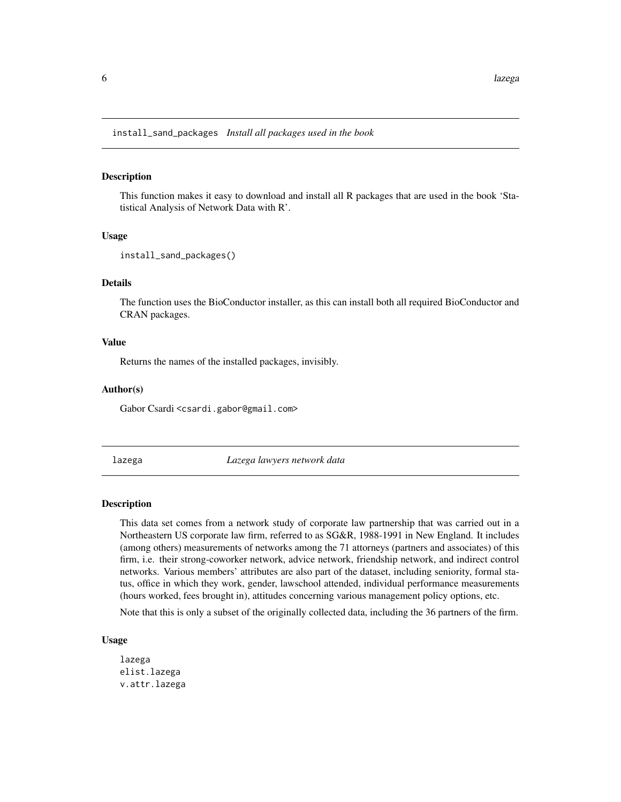<span id="page-5-3"></span><span id="page-5-0"></span>install\_sand\_packages *Install all packages used in the book*

# Description

This function makes it easy to download and install all R packages that are used in the book 'Statistical Analysis of Network Data with R'.

# Usage

```
install_sand_packages()
```
# Details

The function uses the BioConductor installer, as this can install both all required BioConductor and CRAN packages.

# Value

Returns the names of the installed packages, invisibly.

# Author(s)

Gabor Csardi <csardi.gabor@gmail.com>

<span id="page-5-2"></span>lazega *Lazega lawyers network data*

# <span id="page-5-1"></span>Description

This data set comes from a network study of corporate law partnership that was carried out in a Northeastern US corporate law firm, referred to as SG&R, 1988-1991 in New England. It includes (among others) measurements of networks among the 71 attorneys (partners and associates) of this firm, i.e. their strong-coworker network, advice network, friendship network, and indirect control networks. Various members' attributes are also part of the dataset, including seniority, formal status, office in which they work, gender, lawschool attended, individual performance measurements (hours worked, fees brought in), attitudes concerning various management policy options, etc.

Note that this is only a subset of the originally collected data, including the 36 partners of the firm.

# Usage

lazega elist.lazega v.attr.lazega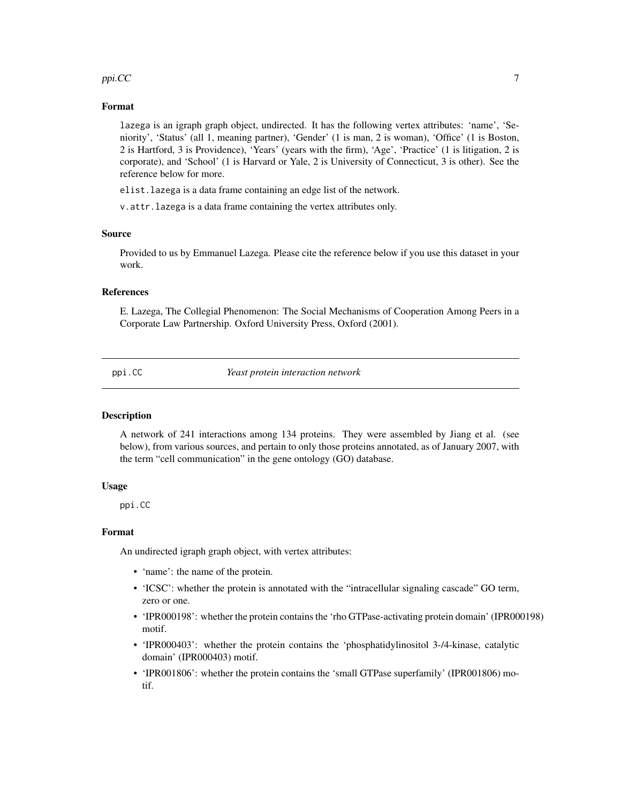# <span id="page-6-0"></span> $ppi.CC$   $\hspace{2cm} 7$

# Format

lazega is an igraph graph object, undirected. It has the following vertex attributes: 'name', 'Seniority', 'Status' (all 1, meaning partner), 'Gender' (1 is man, 2 is woman), 'Office' (1 is Boston, 2 is Hartford, 3 is Providence), 'Years' (years with the firm), 'Age', 'Practice' (1 is litigation, 2 is corporate), and 'School' (1 is Harvard or Yale, 2 is University of Connecticut, 3 is other). See the reference below for more.

elist.lazega is a data frame containing an edge list of the network.

v.attr.lazega is a data frame containing the vertex attributes only.

# Source

Provided to us by Emmanuel Lazega. Please cite the reference below if you use this dataset in your work.

# References

E. Lazega, The Collegial Phenomenon: The Social Mechanisms of Cooperation Among Peers in a Corporate Law Partnership. Oxford University Press, Oxford (2001).

<span id="page-6-1"></span>ppi.CC *Yeast protein interaction network*

# Description

A network of 241 interactions among 134 proteins. They were assembled by Jiang et al. (see below), from various sources, and pertain to only those proteins annotated, as of January 2007, with the term "cell communication" in the gene ontology (GO) database.

## Usage

ppi.CC

# Format

An undirected igraph graph object, with vertex attributes:

- 'name': the name of the protein.
- 'ICSC': whether the protein is annotated with the "intracellular signaling cascade" GO term, zero or one.
- 'IPR000198': whether the protein contains the 'rho GTPase-activating protein domain' (IPR000198) motif.
- 'IPR000403': whether the protein contains the 'phosphatidylinositol 3-/4-kinase, catalytic domain' (IPR000403) motif.
- 'IPR001806': whether the protein contains the 'small GTPase superfamily' (IPR001806) motif.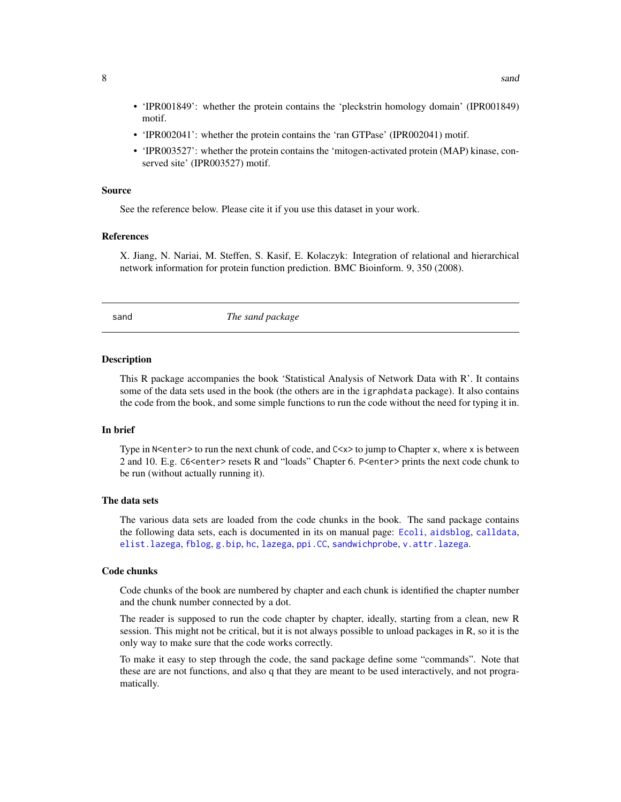- <span id="page-7-0"></span>• 'IPR001849': whether the protein contains the 'pleckstrin homology domain' (IPR001849) motif.
- 'IPR002041': whether the protein contains the 'ran GTPase' (IPR002041) motif.
- 'IPR003527': whether the protein contains the 'mitogen-activated protein (MAP) kinase, conserved site' (IPR003527) motif.

# Source

See the reference below. Please cite it if you use this dataset in your work.

# References

X. Jiang, N. Nariai, M. Steffen, S. Kasif, E. Kolaczyk: Integration of relational and hierarchical network information for protein function prediction. BMC Bioinform. 9, 350 (2008).

sand *The sand package*

#### Description

This R package accompanies the book 'Statistical Analysis of Network Data with R'. It contains some of the data sets used in the book (the others are in the igraphdata package). It also contains the code from the book, and some simple functions to run the code without the need for typing it in.

# In brief

Type in N<enter> to run the next chunk of code, and  $Cx$ > to jump to Chapter x, where x is between 2 and 10. E.g. C6<enter> resets R and "loads" Chapter 6. P<enter> prints the next code chunk to be run (without actually running it).

# The data sets

The various data sets are loaded from the code chunks in the book. The sand package contains the following data sets, each is documented in its on manual page: [Ecoli](#page-2-1), [aidsblog](#page-1-1), [calldata](#page-1-2), [elist.lazega](#page-5-1), [fblog](#page-3-1), [g.bip](#page-3-2), [hc](#page-4-1), [lazega](#page-5-2), [ppi.CC](#page-6-1), [sandwichprobe](#page-9-1), [v.attr.lazega](#page-5-1).

#### Code chunks

Code chunks of the book are numbered by chapter and each chunk is identified the chapter number and the chunk number connected by a dot.

The reader is supposed to run the code chapter by chapter, ideally, starting from a clean, new R session. This might not be critical, but it is not always possible to unload packages in R, so it is the only way to make sure that the code works correctly.

To make it easy to step through the code, the sand package define some "commands". Note that these are are not functions, and also q that they are meant to be used interactively, and not programatically.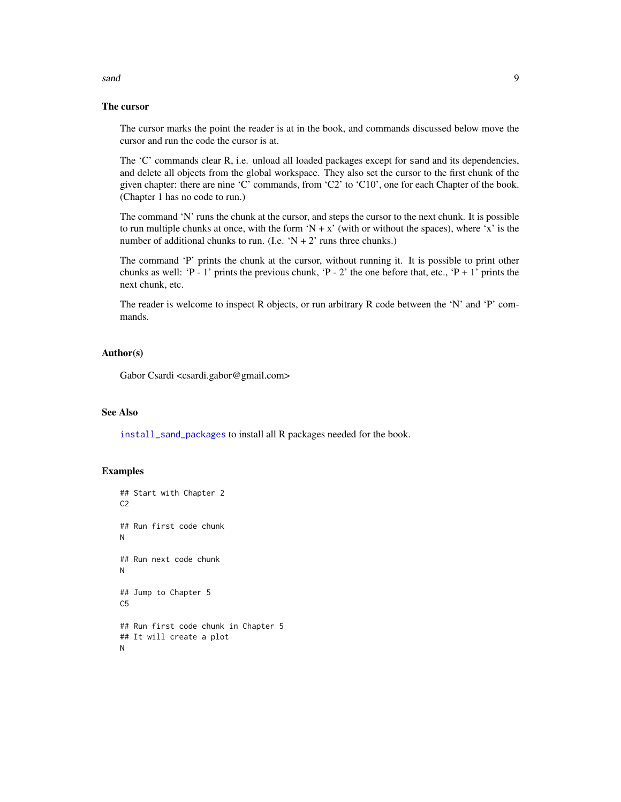# <span id="page-8-0"></span>sand 9

# The cursor

The cursor marks the point the reader is at in the book, and commands discussed below move the cursor and run the code the cursor is at.

The 'C' commands clear R, i.e. unload all loaded packages except for sand and its dependencies, and delete all objects from the global workspace. They also set the cursor to the first chunk of the given chapter: there are nine 'C' commands, from 'C2' to 'C10', one for each Chapter of the book. (Chapter 1 has no code to run.)

The command 'N' runs the chunk at the cursor, and steps the cursor to the next chunk. It is possible to run multiple chunks at once, with the form 'N + x' (with or without the spaces), where 'x' is the number of additional chunks to run. (I.e. 'N + 2' runs three chunks.)

The command 'P' prints the chunk at the cursor, without running it. It is possible to print other chunks as well: 'P - 1' prints the previous chunk, 'P - 2' the one before that, etc., 'P + 1' prints the next chunk, etc.

The reader is welcome to inspect R objects, or run arbitrary R code between the 'N' and 'P' commands.

# Author(s)

Gabor Csardi <csardi.gabor@gmail.com>

# See Also

[install\\_sand\\_packages](#page-5-3) to install all R packages needed for the book.

# Examples

```
## Start with Chapter 2
C<sub>2</sub>## Run first code chunk
N
## Run next code chunk
N
## Jump to Chapter 5
C5
## Run first code chunk in Chapter 5
## It will create a plot
N
```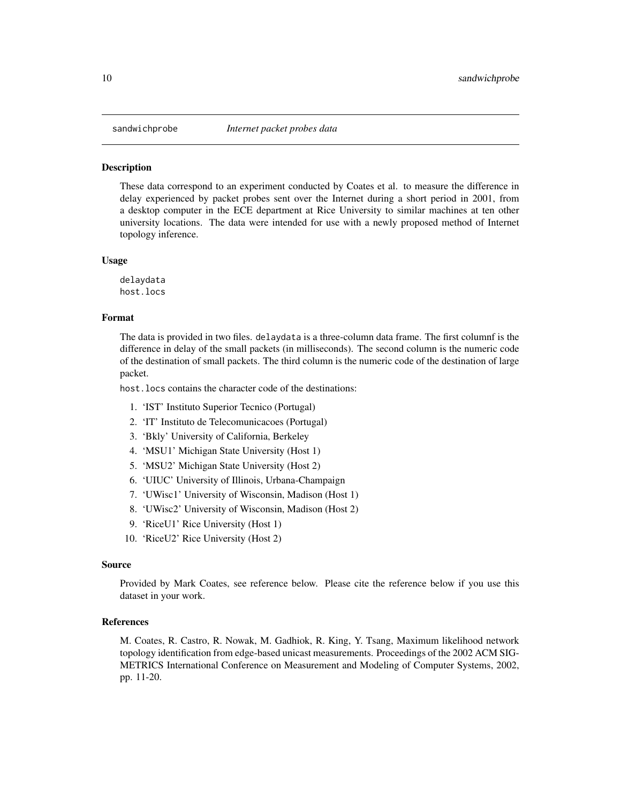<span id="page-9-1"></span><span id="page-9-0"></span>

# Description

These data correspond to an experiment conducted by Coates et al. to measure the difference in delay experienced by packet probes sent over the Internet during a short period in 2001, from a desktop computer in the ECE department at Rice University to similar machines at ten other university locations. The data were intended for use with a newly proposed method of Internet topology inference.

# Usage

delaydata host.locs

# Format

The data is provided in two files. delaydata is a three-column data frame. The first columnf is the difference in delay of the small packets (in milliseconds). The second column is the numeric code of the destination of small packets. The third column is the numeric code of the destination of large packet.

host. locs contains the character code of the destinations:

- 1. 'IST' Instituto Superior Tecnico (Portugal)
- 2. 'IT' Instituto de Telecomunicacoes (Portugal)
- 3. 'Bkly' University of California, Berkeley
- 4. 'MSU1' Michigan State University (Host 1)
- 5. 'MSU2' Michigan State University (Host 2)
- 6. 'UIUC' University of Illinois, Urbana-Champaign
- 7. 'UWisc1' University of Wisconsin, Madison (Host 1)
- 8. 'UWisc2' University of Wisconsin, Madison (Host 2)
- 9. 'RiceU1' Rice University (Host 1)
- 10. 'RiceU2' Rice University (Host 2)

# Source

Provided by Mark Coates, see reference below. Please cite the reference below if you use this dataset in your work.

#### References

M. Coates, R. Castro, R. Nowak, M. Gadhiok, R. King, Y. Tsang, Maximum likelihood network topology identification from edge-based unicast measurements. Proceedings of the 2002 ACM SIG-METRICS International Conference on Measurement and Modeling of Computer Systems, 2002, pp. 11-20.